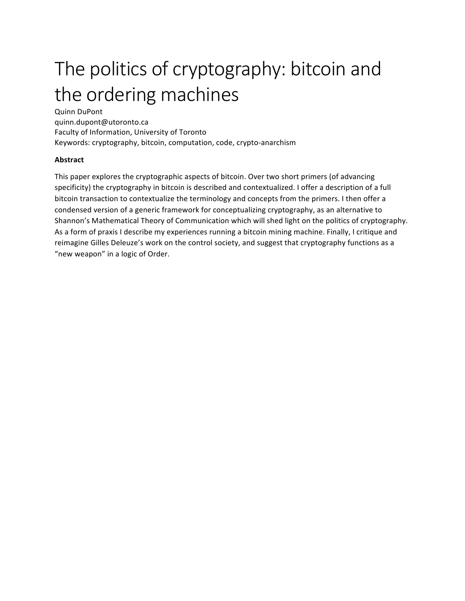# The politics of cryptography: bitcoin and the ordering machines

Quinn DuPont quinn.dupont@utoronto.ca Faculty of Information, University of Toronto Keywords: cryptography, bitcoin, computation, code, crypto-anarchism

#### **Abstract**

This paper explores the cryptographic aspects of bitcoin. Over two short primers (of advancing specificity) the cryptography in bitcoin is described and contextualized. I offer a description of a full bitcoin transaction to contextualize the terminology and concepts from the primers. I then offer a condensed version of a generic framework for conceptualizing cryptography, as an alternative to Shannon's Mathematical Theory of Communication which will shed light on the politics of cryptography. As a form of praxis I describe my experiences running a bitcoin mining machine. Finally, I critique and reimagine Gilles Deleuze's work on the control society, and suggest that cryptography functions as a "new weapon" in a logic of Order.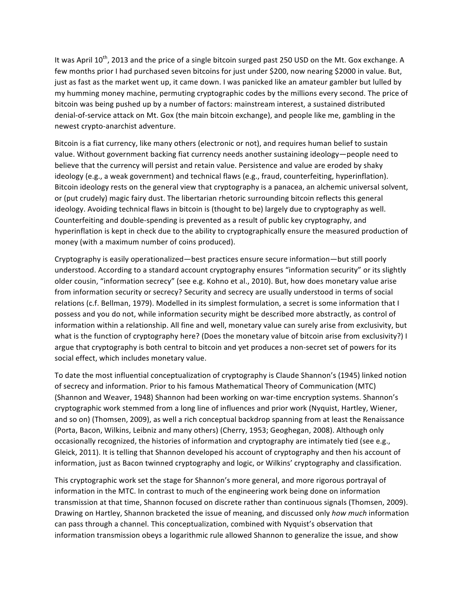It was April 10<sup>th</sup>, 2013 and the price of a single bitcoin surged past 250 USD on the Mt. Gox exchange. A few months prior I had purchased seven bitcoins for just under \$200, now nearing \$2000 in value. But, just as fast as the market went up, it came down. I was panicked like an amateur gambler but lulled by my humming money machine, permuting cryptographic codes by the millions every second. The price of bitcoin was being pushed up by a number of factors: mainstream interest, a sustained distributed denial-of-service attack on Mt. Gox (the main bitcoin exchange), and people like me, gambling in the newest crypto-anarchist adventure.

Bitcoin is a fiat currency, like many others (electronic or not), and requires human belief to sustain value. Without government backing fiat currency needs another sustaining ideology—people need to believe that the currency will persist and retain value. Persistence and value are eroded by shaky ideology (e.g., a weak government) and technical flaws (e.g., fraud, counterfeiting, hyperinflation). Bitcoin ideology rests on the general view that cryptography is a panacea, an alchemic universal solvent, or (put crudely) magic fairy dust. The libertarian rhetoric surrounding bitcoin reflects this general ideology. Avoiding technical flaws in bitcoin is (thought to be) largely due to cryptography as well. Counterfeiting and double-spending is prevented as a result of public key cryptography, and hyperinflation is kept in check due to the ability to cryptographically ensure the measured production of money (with a maximum number of coins produced).

Cryptography is easily operationalized—best practices ensure secure information—but still poorly understood. According to a standard account cryptography ensures "information security" or its slightly older cousin, "information secrecy" (see e.g. Kohno et al., 2010). But, how does monetary value arise from information security or secrecy? Security and secrecy are usually understood in terms of social relations (c.f. Bellman, 1979). Modelled in its simplest formulation, a secret is some information that I possess and you do not, while information security might be described more abstractly, as control of information within a relationship. All fine and well, monetary value can surely arise from exclusivity, but what is the function of cryptography here? (Does the monetary value of bitcoin arise from exclusivity?) I argue that cryptography is both central to bitcoin and yet produces a non-secret set of powers for its social effect, which includes monetary value.

To date the most influential conceptualization of cryptography is Claude Shannon's (1945) linked notion of secrecy and information. Prior to his famous Mathematical Theory of Communication (MTC) (Shannon and Weaver, 1948) Shannon had been working on war-time encryption systems. Shannon's cryptographic work stemmed from a long line of influences and prior work (Nyquist, Hartley, Wiener, and so on) (Thomsen, 2009), as well a rich conceptual backdrop spanning from at least the Renaissance (Porta, Bacon, Wilkins, Leibniz and many others) (Cherry, 1953; Geoghegan, 2008). Although only occasionally recognized, the histories of information and cryptography are intimately tied (see e.g., Gleick, 2011). It is telling that Shannon developed his account of cryptography and then his account of information, just as Bacon twinned cryptography and logic, or Wilkins' cryptography and classification.

This cryptographic work set the stage for Shannon's more general, and more rigorous portrayal of information in the MTC. In contrast to much of the engineering work being done on information transmission at that time, Shannon focused on discrete rather than continuous signals (Thomsen, 2009). Drawing on Hartley, Shannon bracketed the issue of meaning, and discussed only how much information can pass through a channel. This conceptualization, combined with Nyquist's observation that information transmission obeys a logarithmic rule allowed Shannon to generalize the issue, and show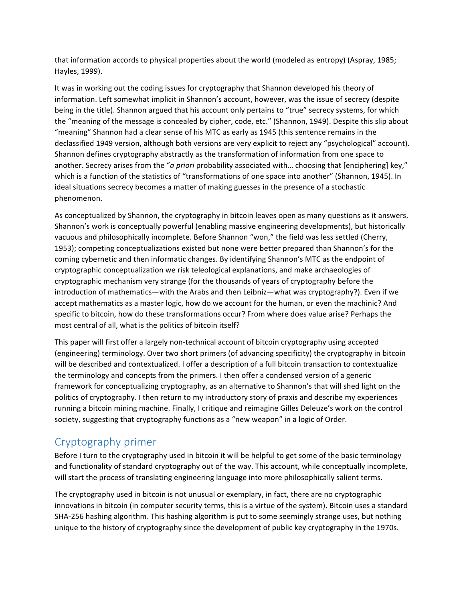that information accords to physical properties about the world (modeled as entropy) (Aspray, 1985; Hayles, 1999). 

It was in working out the coding issues for cryptography that Shannon developed his theory of information. Left somewhat implicit in Shannon's account, however, was the issue of secrecy (despite being in the title). Shannon argued that his account only pertains to "true" secrecy systems, for which the "meaning of the message is concealed by cipher, code, etc." (Shannon, 1949). Despite this slip about "meaning" Shannon had a clear sense of his MTC as early as 1945 (this sentence remains in the declassified 1949 version, although both versions are very explicit to reject any "psychological" account). Shannon defines cryptography abstractly as the transformation of information from one space to another. Secrecy arises from the "*a priori* probability associated with... choosing that [enciphering] key," which is a function of the statistics of "transformations of one space into another" (Shannon, 1945). In ideal situations secrecy becomes a matter of making guesses in the presence of a stochastic phenomenon.

As conceptualized by Shannon, the cryptography in bitcoin leaves open as many questions as it answers. Shannon's work is conceptually powerful (enabling massive engineering developments), but historically vacuous and philosophically incomplete. Before Shannon "won," the field was less settled (Cherry, 1953); competing conceptualizations existed but none were better prepared than Shannon's for the coming cybernetic and then informatic changes. By identifying Shannon's MTC as the endpoint of cryptographic conceptualization we risk teleological explanations, and make archaeologies of cryptographic mechanism very strange (for the thousands of years of cryptography before the introduction of mathematics—with the Arabs and then Leibniz—what was cryptography?). Even if we accept mathematics as a master logic, how do we account for the human, or even the machinic? And specific to bitcoin, how do these transformations occur? From where does value arise? Perhaps the most central of all, what is the politics of bitcoin itself?

This paper will first offer a largely non-technical account of bitcoin cryptography using accepted (engineering) terminology. Over two short primers (of advancing specificity) the cryptography in bitcoin will be described and contextualized. I offer a description of a full bitcoin transaction to contextualize the terminology and concepts from the primers. I then offer a condensed version of a generic framework for conceptualizing cryptography, as an alternative to Shannon's that will shed light on the politics of cryptography. I then return to my introductory story of praxis and describe my experiences running a bitcoin mining machine. Finally, I critique and reimagine Gilles Deleuze's work on the control society, suggesting that cryptography functions as a "new weapon" in a logic of Order.

# Cryptography primer

Before I turn to the cryptography used in bitcoin it will be helpful to get some of the basic terminology and functionality of standard cryptography out of the way. This account, while conceptually incomplete, will start the process of translating engineering language into more philosophically salient terms.

The cryptography used in bitcoin is not unusual or exemplary, in fact, there are no cryptographic innovations in bitcoin (in computer security terms, this is a virtue of the system). Bitcoin uses a standard SHA-256 hashing algorithm. This hashing algorithm is put to some seemingly strange uses, but nothing unique to the history of cryptography since the development of public key cryptography in the 1970s.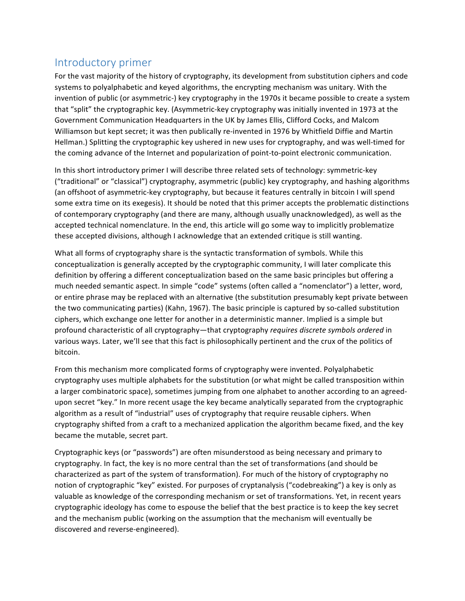#### Introductory primer

For the vast majority of the history of cryptography, its development from substitution ciphers and code systems to polyalphabetic and keyed algorithms, the encrypting mechanism was unitary. With the invention of public (or asymmetric-) key cryptography in the 1970s it became possible to create a system that "split" the cryptographic key. (Asymmetric-key cryptography was initially invented in 1973 at the Government Communication Headquarters in the UK by James Ellis, Clifford Cocks, and Malcom Williamson but kept secret; it was then publically re-invented in 1976 by Whitfield Diffie and Martin Hellman.) Splitting the cryptographic key ushered in new uses for cryptography, and was well-timed for the coming advance of the Internet and popularization of point-to-point electronic communication.

In this short introductory primer I will describe three related sets of technology: symmetric-key ("traditional" or "classical") cryptography, asymmetric (public) key cryptography, and hashing algorithms (an offshoot of asymmetric-key cryptography, but because it features centrally in bitcoin I will spend some extra time on its exegesis). It should be noted that this primer accepts the problematic distinctions of contemporary cryptography (and there are many, although usually unacknowledged), as well as the accepted technical nomenclature. In the end, this article will go some way to implicitly problematize these accepted divisions, although I acknowledge that an extended critique is still wanting.

What all forms of cryptography share is the syntactic transformation of symbols. While this conceptualization is generally accepted by the cryptographic community, I will later complicate this definition by offering a different conceptualization based on the same basic principles but offering a much needed semantic aspect. In simple "code" systems (often called a "nomenclator") a letter, word, or entire phrase may be replaced with an alternative (the substitution presumably kept private between the two communicating parties) (Kahn, 1967). The basic principle is captured by so-called substitution ciphers, which exchange one letter for another in a deterministic manner. Implied is a simple but profound characteristic of all cryptography—that cryptography *requires discrete symbols ordered* in various ways. Later, we'll see that this fact is philosophically pertinent and the crux of the politics of bitcoin. 

From this mechanism more complicated forms of cryptography were invented. Polyalphabetic cryptography uses multiple alphabets for the substitution (or what might be called transposition within a larger combinatoric space), sometimes jumping from one alphabet to another according to an agreedupon secret "key." In more recent usage the key became analytically separated from the cryptographic algorithm as a result of "industrial" uses of cryptography that require reusable ciphers. When cryptography shifted from a craft to a mechanized application the algorithm became fixed, and the key became the mutable, secret part.

Cryptographic keys (or "passwords") are often misunderstood as being necessary and primary to cryptography. In fact, the key is no more central than the set of transformations (and should be characterized as part of the system of transformation). For much of the history of cryptography no notion of cryptographic "key" existed. For purposes of cryptanalysis ("codebreaking") a key is only as valuable as knowledge of the corresponding mechanism or set of transformations. Yet, in recent years cryptographic ideology has come to espouse the belief that the best practice is to keep the key secret and the mechanism public (working on the assumption that the mechanism will eventually be discovered and reverse-engineered).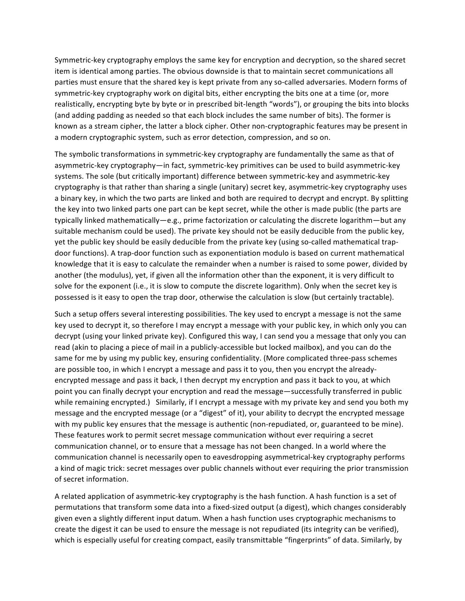Symmetric-key cryptography employs the same key for encryption and decryption, so the shared secret item is identical among parties. The obvious downside is that to maintain secret communications all parties must ensure that the shared key is kept private from any so-called adversaries. Modern forms of symmetric-key cryptography work on digital bits, either encrypting the bits one at a time (or, more realistically, encrypting byte by byte or in prescribed bit-length "words"), or grouping the bits into blocks (and adding padding as needed so that each block includes the same number of bits). The former is known as a stream cipher, the latter a block cipher. Other non-cryptographic features may be present in a modern cryptographic system, such as error detection, compression, and so on.

The symbolic transformations in symmetric-key cryptography are fundamentally the same as that of asymmetric-key cryptography—in fact, symmetric-key primitives can be used to build asymmetric-key systems. The sole (but critically important) difference between symmetric-key and asymmetric-key cryptography is that rather than sharing a single (unitary) secret key, asymmetric-key cryptography uses a binary key, in which the two parts are linked and both are required to decrypt and encrypt. By splitting the key into two linked parts one part can be kept secret, while the other is made public (the parts are typically linked mathematically—e.g., prime factorization or calculating the discrete logarithm—but any suitable mechanism could be used). The private key should not be easily deducible from the public key, yet the public key should be easily deducible from the private key (using so-called mathematical trapdoor functions). A trap-door function such as exponentiation modulo is based on current mathematical knowledge that it is easy to calculate the remainder when a number is raised to some power, divided by another (the modulus), yet, if given all the information other than the exponent, it is very difficult to solve for the exponent (i.e., it is slow to compute the discrete logarithm). Only when the secret key is possessed is it easy to open the trap door, otherwise the calculation is slow (but certainly tractable).

Such a setup offers several interesting possibilities. The key used to encrypt a message is not the same key used to decrypt it, so therefore I may encrypt a message with your public key, in which only you can decrypt (using your linked private key). Configured this way, I can send you a message that only you can read (akin to placing a piece of mail in a publicly-accessible but locked mailbox), and you can do the same for me by using my public key, ensuring confidentiality. (More complicated three-pass schemes are possible too, in which I encrypt a message and pass it to you, then you encrypt the alreadyencrypted message and pass it back, I then decrypt my encryption and pass it back to you, at which point you can finally decrypt your encryption and read the message—successfully transferred in public while remaining encrypted.) Similarly, if I encrypt a message with my private key and send you both my message and the encrypted message (or a "digest" of it), your ability to decrypt the encrypted message with my public key ensures that the message is authentic (non-repudiated, or, guaranteed to be mine). These features work to permit secret message communication without ever requiring a secret communication channel, or to ensure that a message has not been changed. In a world where the communication channel is necessarily open to eavesdropping asymmetrical-key cryptography performs a kind of magic trick: secret messages over public channels without ever requiring the prior transmission of secret information.

A related application of asymmetric-key cryptography is the hash function. A hash function is a set of permutations that transform some data into a fixed-sized output (a digest), which changes considerably given even a slightly different input datum. When a hash function uses cryptographic mechanisms to create the digest it can be used to ensure the message is not repudiated (its integrity can be verified), which is especially useful for creating compact, easily transmittable "fingerprints" of data. Similarly, by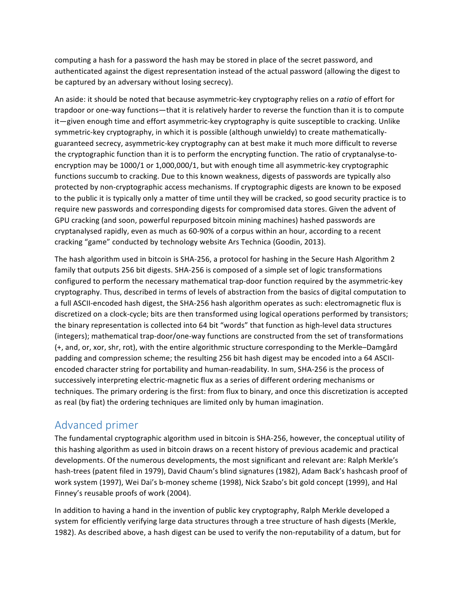computing a hash for a password the hash may be stored in place of the secret password, and authenticated against the digest representation instead of the actual password (allowing the digest to be captured by an adversary without losing secrecy).

An aside: it should be noted that because asymmetric-key cryptography relies on a *ratio* of effort for trapdoor or one-way functions—that it is relatively harder to reverse the function than it is to compute it—given enough time and effort asymmetric-key cryptography is quite susceptible to cracking. Unlike symmetric-key cryptography, in which it is possible (although unwieldy) to create mathematicallyguaranteed secrecy, asymmetric-key cryptography can at best make it much more difficult to reverse the cryptographic function than it is to perform the encrypting function. The ratio of cryptanalyse-toencryption may be 1000/1 or 1,000,000/1, but with enough time all asymmetric-key cryptographic functions succumb to cracking. Due to this known weakness, digests of passwords are typically also protected by non-cryptographic access mechanisms. If cryptographic digests are known to be exposed to the public it is typically only a matter of time until they will be cracked, so good security practice is to require new passwords and corresponding digests for compromised data stores. Given the advent of GPU cracking (and soon, powerful repurposed bitcoin mining machines) hashed passwords are cryptanalysed rapidly, even as much as 60-90% of a corpus within an hour, according to a recent cracking "game" conducted by technology website Ars Technica (Goodin, 2013).

The hash algorithm used in bitcoin is SHA-256, a protocol for hashing in the Secure Hash Algorithm 2 family that outputs 256 bit digests. SHA-256 is composed of a simple set of logic transformations configured to perform the necessary mathematical trap-door function required by the asymmetric-key cryptography. Thus, described in terms of levels of abstraction from the basics of digital computation to a full ASCII-encoded hash digest, the SHA-256 hash algorithm operates as such: electromagnetic flux is discretized on a clock-cycle; bits are then transformed using logical operations performed by transistors; the binary representation is collected into 64 bit "words" that function as high-level data structures (integers); mathematical trap-door/one-way functions are constructed from the set of transformations (+, and, or, xor, shr, rot), with the entire algorithmic structure corresponding to the Merkle–Damgård padding and compression scheme; the resulting 256 bit hash digest may be encoded into a 64 ASCIIencoded character string for portability and human-readability. In sum, SHA-256 is the process of successively interpreting electric-magnetic flux as a series of different ordering mechanisms or techniques. The primary ordering is the first: from flux to binary, and once this discretization is accepted as real (by fiat) the ordering techniques are limited only by human imagination.

# Advanced primer

The fundamental cryptographic algorithm used in bitcoin is SHA-256, however, the conceptual utility of this hashing algorithm as used in bitcoin draws on a recent history of previous academic and practical developments. Of the numerous developments, the most significant and relevant are: Ralph Merkle's hash-trees (patent filed in 1979), David Chaum's blind signatures (1982), Adam Back's hashcash proof of work system (1997), Wei Dai's b-money scheme (1998), Nick Szabo's bit gold concept (1999), and Hal Finney's reusable proofs of work (2004).

In addition to having a hand in the invention of public key cryptography, Ralph Merkle developed a system for efficiently verifying large data structures through a tree structure of hash digests (Merkle, 1982). As described above, a hash digest can be used to verify the non-reputability of a datum, but for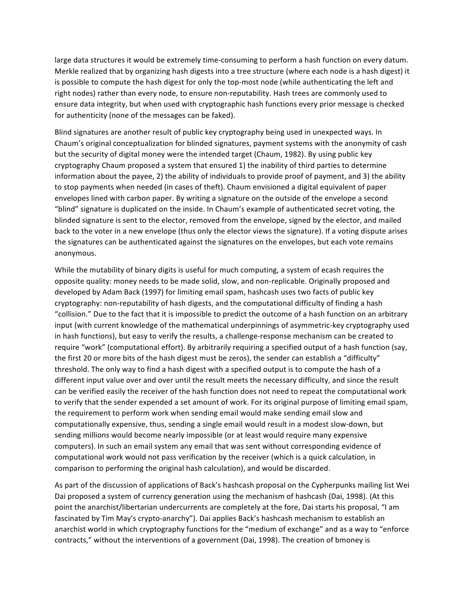large data structures it would be extremely time-consuming to perform a hash function on every datum. Merkle realized that by organizing hash digests into a tree structure (where each node is a hash digest) it is possible to compute the hash digest for only the top-most node (while authenticating the left and right nodes) rather than every node, to ensure non-reputability. Hash trees are commonly used to ensure data integrity, but when used with cryptographic hash functions every prior message is checked for authenticity (none of the messages can be faked).

Blind signatures are another result of public key cryptography being used in unexpected ways. In Chaum's original conceptualization for blinded signatures, payment systems with the anonymity of cash but the security of digital money were the intended target (Chaum, 1982). By using public key cryptography Chaum proposed a system that ensured 1) the inability of third parties to determine information about the payee, 2) the ability of individuals to provide proof of payment, and 3) the ability to stop payments when needed (in cases of theft). Chaum envisioned a digital equivalent of paper envelopes lined with carbon paper. By writing a signature on the outside of the envelope a second "blind" signature is duplicated on the inside. In Chaum's example of authenticated secret voting, the blinded signature is sent to the elector, removed from the envelope, signed by the elector, and mailed back to the voter in a new envelope (thus only the elector views the signature). If a voting dispute arises the signatures can be authenticated against the signatures on the envelopes, but each vote remains anonymous.

While the mutability of binary digits is useful for much computing, a system of ecash requires the opposite quality: money needs to be made solid, slow, and non-replicable. Originally proposed and developed by Adam Back (1997) for limiting email spam, hashcash uses two facts of public key cryptography: non-reputability of hash digests, and the computational difficulty of finding a hash "collision." Due to the fact that it is impossible to predict the outcome of a hash function on an arbitrary input (with current knowledge of the mathematical underpinnings of asymmetric-key cryptography used in hash functions), but easy to verify the results, a challenge-response mechanism can be created to require "work" (computational effort). By arbitrarily requiring a specified output of a hash function (say, the first 20 or more bits of the hash digest must be zeros), the sender can establish a "difficulty" threshold. The only way to find a hash digest with a specified output is to compute the hash of a different input value over and over until the result meets the necessary difficulty, and since the result can be verified easily the receiver of the hash function does not need to repeat the computational work to verify that the sender expended a set amount of work. For its original purpose of limiting email spam, the requirement to perform work when sending email would make sending email slow and computationally expensive, thus, sending a single email would result in a modest slow-down, but sending millions would become nearly impossible (or at least would require many expensive computers). In such an email system any email that was sent without corresponding evidence of computational work would not pass verification by the receiver (which is a quick calculation, in comparison to performing the original hash calculation), and would be discarded.

As part of the discussion of applications of Back's hashcash proposal on the Cypherpunks mailing list Wei Dai proposed a system of currency generation using the mechanism of hashcash (Dai, 1998). (At this point the anarchist/libertarian undercurrents are completely at the fore, Dai starts his proposal, "I am fascinated by Tim May's crypto-anarchy"). Dai applies Back's hashcash mechanism to establish an anarchist world in which cryptography functions for the "medium of exchange" and as a way to "enforce contracts," without the interventions of a government (Dai, 1998). The creation of bmoney is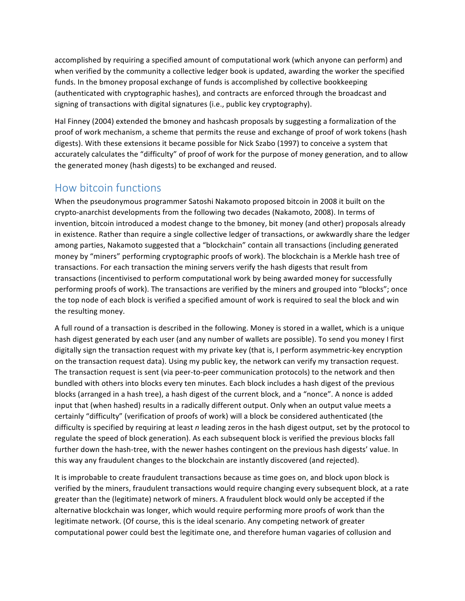accomplished by requiring a specified amount of computational work (which anyone can perform) and when verified by the community a collective ledger book is updated, awarding the worker the specified funds. In the bmoney proposal exchange of funds is accomplished by collective bookkeeping (authenticated with cryptographic hashes), and contracts are enforced through the broadcast and signing of transactions with digital signatures (i.e., public key cryptography).

Hal Finney (2004) extended the bmoney and hashcash proposals by suggesting a formalization of the proof of work mechanism, a scheme that permits the reuse and exchange of proof of work tokens (hash digests). With these extensions it became possible for Nick Szabo (1997) to conceive a system that accurately calculates the "difficulty" of proof of work for the purpose of money generation, and to allow the generated money (hash digests) to be exchanged and reused.

#### How bitcoin functions

When the pseudonymous programmer Satoshi Nakamoto proposed bitcoin in 2008 it built on the crypto-anarchist developments from the following two decades (Nakamoto, 2008). In terms of invention, bitcoin introduced a modest change to the bmoney, bit money (and other) proposals already in existence. Rather than require a single collective ledger of transactions, or awkwardly share the ledger among parties, Nakamoto suggested that a "blockchain" contain all transactions (including generated money by "miners" performing cryptographic proofs of work). The blockchain is a Merkle hash tree of transactions. For each transaction the mining servers verify the hash digests that result from transactions (incentivised to perform computational work by being awarded money for successfully performing proofs of work). The transactions are verified by the miners and grouped into "blocks"; once the top node of each block is verified a specified amount of work is required to seal the block and win the resulting money.

A full round of a transaction is described in the following. Money is stored in a wallet, which is a unique hash digest generated by each user (and any number of wallets are possible). To send you money I first digitally sign the transaction request with my private key (that is, I perform asymmetric-key encryption on the transaction request data). Using my public key, the network can verify my transaction request. The transaction request is sent (via peer-to-peer communication protocols) to the network and then bundled with others into blocks every ten minutes. Each block includes a hash digest of the previous blocks (arranged in a hash tree), a hash digest of the current block, and a "nonce". A nonce is added input that (when hashed) results in a radically different output. Only when an output value meets a certainly "difficulty" (verification of proofs of work) will a block be considered authenticated (the difficulty is specified by requiring at least *n* leading zeros in the hash digest output, set by the protocol to regulate the speed of block generation). As each subsequent block is verified the previous blocks fall further down the hash-tree, with the newer hashes contingent on the previous hash digests' value. In this way any fraudulent changes to the blockchain are instantly discovered (and rejected).

It is improbable to create fraudulent transactions because as time goes on, and block upon block is verified by the miners, fraudulent transactions would require changing every subsequent block, at a rate greater than the (legitimate) network of miners. A fraudulent block would only be accepted if the alternative blockchain was longer, which would require performing more proofs of work than the legitimate network. (Of course, this is the ideal scenario. Any competing network of greater computational power could best the legitimate one, and therefore human vagaries of collusion and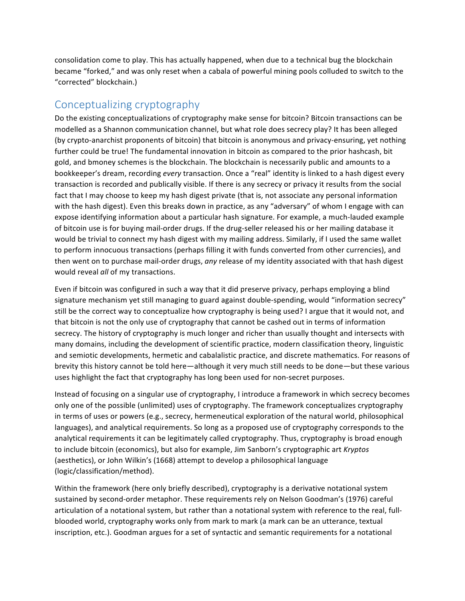consolidation come to play. This has actually happened, when due to a technical bug the blockchain became "forked," and was only reset when a cabala of powerful mining pools colluded to switch to the "corrected" blockchain.)

# Conceptualizing cryptography

Do the existing conceptualizations of cryptography make sense for bitcoin? Bitcoin transactions can be modelled as a Shannon communication channel, but what role does secrecy play? It has been alleged (by crypto-anarchist proponents of bitcoin) that bitcoin is anonymous and privacy-ensuring, yet nothing further could be true! The fundamental innovation in bitcoin as compared to the prior hashcash, bit gold, and bmoney schemes is the blockchain. The blockchain is necessarily public and amounts to a bookkeeper's dream, recording *every* transaction. Once a "real" identity is linked to a hash digest every transaction is recorded and publically visible. If there is any secrecy or privacy it results from the social fact that I may choose to keep my hash digest private (that is, not associate any personal information with the hash digest). Even this breaks down in practice, as any "adversary" of whom I engage with can expose identifying information about a particular hash signature. For example, a much-lauded example of bitcoin use is for buying mail-order drugs. If the drug-seller released his or her mailing database it would be trivial to connect my hash digest with my mailing address. Similarly, if I used the same wallet to perform innocuous transactions (perhaps filling it with funds converted from other currencies), and then went on to purchase mail-order drugs, any release of my identity associated with that hash digest would reveal *all* of my transactions.

Even if bitcoin was configured in such a way that it did preserve privacy, perhaps employing a blind signature mechanism yet still managing to guard against double-spending, would "information secrecy" still be the correct way to conceptualize how cryptography is being used? I argue that it would not, and that bitcoin is not the only use of cryptography that cannot be cashed out in terms of information secrecy. The history of cryptography is much longer and richer than usually thought and intersects with many domains, including the development of scientific practice, modern classification theory, linguistic and semiotic developments, hermetic and cabalalistic practice, and discrete mathematics. For reasons of brevity this history cannot be told here—although it very much still needs to be done—but these various uses highlight the fact that cryptography has long been used for non-secret purposes.

Instead of focusing on a singular use of cryptography, I introduce a framework in which secrecy becomes only one of the possible (unlimited) uses of cryptography. The framework conceptualizes cryptography in terms of uses or powers (e.g., secrecy, hermeneutical exploration of the natural world, philosophical languages), and analytical requirements. So long as a proposed use of cryptography corresponds to the analytical requirements it can be legitimately called cryptography. Thus, cryptography is broad enough to include bitcoin (economics), but also for example, Jim Sanborn's cryptographic art *Kryptos* (aesthetics), or John Wilkin's (1668) attempt to develop a philosophical language (logic/classification/method).

Within the framework (here only briefly described), cryptography is a derivative notational system sustained by second-order metaphor. These requirements rely on Nelson Goodman's (1976) careful articulation of a notational system, but rather than a notational system with reference to the real, fullblooded world, cryptography works only from mark to mark (a mark can be an utterance, textual inscription, etc.). Goodman argues for a set of syntactic and semantic requirements for a notational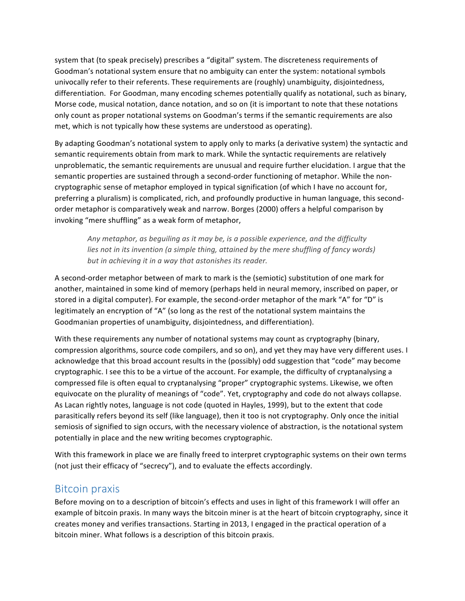system that (to speak precisely) prescribes a "digital" system. The discreteness requirements of Goodman's notational system ensure that no ambiguity can enter the system: notational symbols univocally refer to their referents. These requirements are (roughly) unambiguity, disjointedness, differentiation. For Goodman, many encoding schemes potentially qualify as notational, such as binary, Morse code, musical notation, dance notation, and so on (it is important to note that these notations only count as proper notational systems on Goodman's terms if the semantic requirements are also met, which is not typically how these systems are understood as operating).

By adapting Goodman's notational system to apply only to marks (a derivative system) the syntactic and semantic requirements obtain from mark to mark. While the syntactic requirements are relatively unproblematic, the semantic requirements are unusual and require further elucidation. I argue that the semantic properties are sustained through a second-order functioning of metaphor. While the noncryptographic sense of metaphor employed in typical signification (of which I have no account for, preferring a pluralism) is complicated, rich, and profoundly productive in human language, this secondorder metaphor is comparatively weak and narrow. Borges (2000) offers a helpful comparison by invoking "mere shuffling" as a weak form of metaphor,

Any metaphor, as beguiling as it may be, is a possible experience, and the difficulty *lies* not in its invention (a simple thing, attained by the mere shuffling of fancy words) *but in achieving it in a way that astonishes its reader.* 

A second-order metaphor between of mark to mark is the (semiotic) substitution of one mark for another, maintained in some kind of memory (perhaps held in neural memory, inscribed on paper, or stored in a digital computer). For example, the second-order metaphor of the mark "A" for "D" is legitimately an encryption of "A" (so long as the rest of the notational system maintains the Goodmanian properties of unambiguity, disjointedness, and differentiation).

With these requirements any number of notational systems may count as cryptography (binary, compression algorithms, source code compilers, and so on), and yet they may have very different uses. I acknowledge that this broad account results in the (possibly) odd suggestion that "code" may become cryptographic. I see this to be a virtue of the account. For example, the difficulty of cryptanalysing a compressed file is often equal to cryptanalysing "proper" cryptographic systems. Likewise, we often equivocate on the plurality of meanings of "code". Yet, cryptography and code do not always collapse. As Lacan rightly notes, language is not code (quoted in Hayles, 1999), but to the extent that code parasitically refers beyond its self (like language), then it too is not cryptography. Only once the initial semiosis of signified to sign occurs, with the necessary violence of abstraction, is the notational system potentially in place and the new writing becomes cryptographic.

With this framework in place we are finally freed to interpret cryptographic systems on their own terms (not just their efficacy of "secrecy"), and to evaluate the effects accordingly.

#### Bitcoin praxis

Before moving on to a description of bitcoin's effects and uses in light of this framework I will offer an example of bitcoin praxis. In many ways the bitcoin miner is at the heart of bitcoin cryptography, since it creates money and verifies transactions. Starting in 2013, I engaged in the practical operation of a bitcoin miner. What follows is a description of this bitcoin praxis.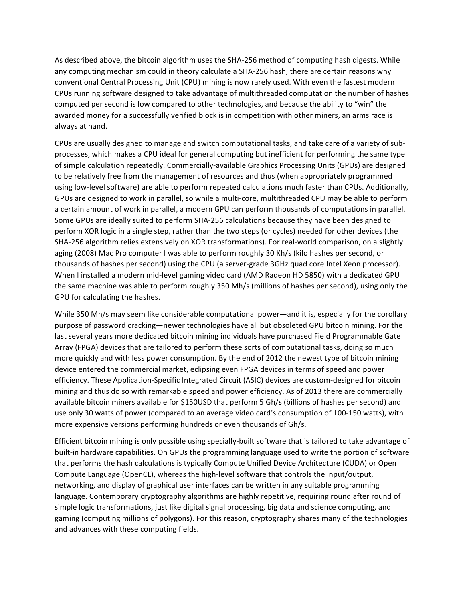As described above, the bitcoin algorithm uses the SHA-256 method of computing hash digests. While any computing mechanism could in theory calculate a SHA-256 hash, there are certain reasons why conventional Central Processing Unit (CPU) mining is now rarely used. With even the fastest modern CPUs running software designed to take advantage of multithreaded computation the number of hashes computed per second is low compared to other technologies, and because the ability to "win" the awarded money for a successfully verified block is in competition with other miners, an arms race is always at hand.

CPUs are usually designed to manage and switch computational tasks, and take care of a variety of subprocesses, which makes a CPU ideal for general computing but inefficient for performing the same type of simple calculation repeatedly. Commercially-available Graphics Processing Units (GPUs) are designed to be relatively free from the management of resources and thus (when appropriately programmed using low-level software) are able to perform repeated calculations much faster than CPUs. Additionally, GPUs are designed to work in parallel, so while a multi-core, multithreaded CPU may be able to perform a certain amount of work in parallel, a modern GPU can perform thousands of computations in parallel. Some GPUs are ideally suited to perform SHA-256 calculations because they have been designed to perform XOR logic in a single step, rather than the two steps (or cycles) needed for other devices (the SHA-256 algorithm relies extensively on XOR transformations). For real-world comparison, on a slightly aging (2008) Mac Pro computer I was able to perform roughly 30 Kh/s (kilo hashes per second, or thousands of hashes per second) using the CPU (a server-grade 3GHz quad core Intel Xeon processor). When I installed a modern mid-level gaming video card (AMD Radeon HD 5850) with a dedicated GPU the same machine was able to perform roughly 350 Mh/s (millions of hashes per second), using only the GPU for calculating the hashes.

While 350 Mh/s may seem like considerable computational power—and it is, especially for the corollary purpose of password cracking—newer technologies have all but obsoleted GPU bitcoin mining. For the last several years more dedicated bitcoin mining individuals have purchased Field Programmable Gate Array (FPGA) devices that are tailored to perform these sorts of computational tasks, doing so much more quickly and with less power consumption. By the end of 2012 the newest type of bitcoin mining device entered the commercial market, eclipsing even FPGA devices in terms of speed and power efficiency. These Application-Specific Integrated Circuit (ASIC) devices are custom-designed for bitcoin mining and thus do so with remarkable speed and power efficiency. As of 2013 there are commercially available bitcoin miners available for \$150USD that perform 5 Gh/s (billions of hashes per second) and use only 30 watts of power (compared to an average video card's consumption of 100-150 watts), with more expensive versions performing hundreds or even thousands of Gh/s.

Efficient bitcoin mining is only possible using specially-built software that is tailored to take advantage of built-in hardware capabilities. On GPUs the programming language used to write the portion of software that performs the hash calculations is typically Compute Unified Device Architecture (CUDA) or Open Compute Language (OpenCL), whereas the high-level software that controls the input/output, networking, and display of graphical user interfaces can be written in any suitable programming language. Contemporary cryptography algorithms are highly repetitive, requiring round after round of simple logic transformations, just like digital signal processing, big data and science computing, and gaming (computing millions of polygons). For this reason, cryptography shares many of the technologies and advances with these computing fields.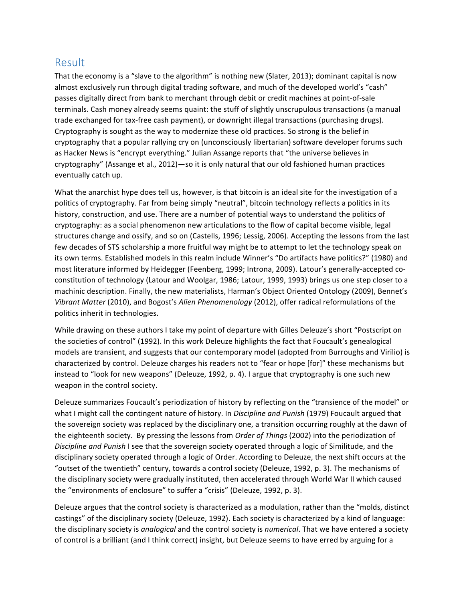#### Result

That the economy is a "slave to the algorithm" is nothing new (Slater, 2013); dominant capital is now almost exclusively run through digital trading software, and much of the developed world's "cash" passes digitally direct from bank to merchant through debit or credit machines at point-of-sale terminals. Cash money already seems quaint: the stuff of slightly unscrupulous transactions (a manual trade exchanged for tax-free cash payment), or downright illegal transactions (purchasing drugs). Cryptography is sought as the way to modernize these old practices. So strong is the belief in cryptography that a popular rallying cry on (unconsciously libertarian) software developer forums such as Hacker News is "encrypt everything." Julian Assange reports that "the universe believes in cryptography" (Assange et al., 2012)—so it is only natural that our old fashioned human practices eventually catch up.

What the anarchist hype does tell us, however, is that bitcoin is an ideal site for the investigation of a politics of cryptography. Far from being simply "neutral", bitcoin technology reflects a politics in its history, construction, and use. There are a number of potential ways to understand the politics of cryptography: as a social phenomenon new articulations to the flow of capital become visible, legal structures change and ossify, and so on (Castells, 1996; Lessig, 2006). Accepting the lessons from the last few decades of STS scholarship a more fruitful way might be to attempt to let the technology speak on its own terms. Established models in this realm include Winner's "Do artifacts have politics?" (1980) and most literature informed by Heidegger (Feenberg, 1999; Introna, 2009). Latour's generally-accepted coconstitution of technology (Latour and Woolgar, 1986; Latour, 1999, 1993) brings us one step closer to a machinic description. Finally, the new materialists, Harman's Object Oriented Ontology (2009), Bennet's *Vibrant Matter* (2010), and Bogost's *Alien Phenomenology* (2012), offer radical reformulations of the politics inherit in technologies.

While drawing on these authors I take my point of departure with Gilles Deleuze's short "Postscript on the societies of control" (1992). In this work Deleuze highlights the fact that Foucault's genealogical models are transient, and suggests that our contemporary model (adopted from Burroughs and Virilio) is characterized by control. Deleuze charges his readers not to "fear or hope [for]" these mechanisms but instead to "look for new weapons" (Deleuze, 1992, p. 4). I argue that cryptography is one such new weapon in the control society.

Deleuze summarizes Foucault's periodization of history by reflecting on the "transience of the model" or what I might call the contingent nature of history. In *Discipline and Punish* (1979) Foucault argued that the sovereign society was replaced by the disciplinary one, a transition occurring roughly at the dawn of the eighteenth society. By pressing the lessons from *Order of Things* (2002) into the periodization of *Discipline and Punish* I see that the sovereign society operated through a logic of Similitude, and the disciplinary society operated through a logic of Order. According to Deleuze, the next shift occurs at the "outset of the twentieth" century, towards a control society (Deleuze, 1992, p. 3). The mechanisms of the disciplinary society were gradually instituted, then accelerated through World War II which caused the "environments of enclosure" to suffer a "crisis" (Deleuze, 1992, p. 3).

Deleuze argues that the control society is characterized as a modulation, rather than the "molds, distinct castings" of the disciplinary society (Deleuze, 1992). Each society is characterized by a kind of language: the disciplinary society is *analogical* and the control society is *numerical*. That we have entered a society of control is a brilliant (and I think correct) insight, but Deleuze seems to have erred by arguing for a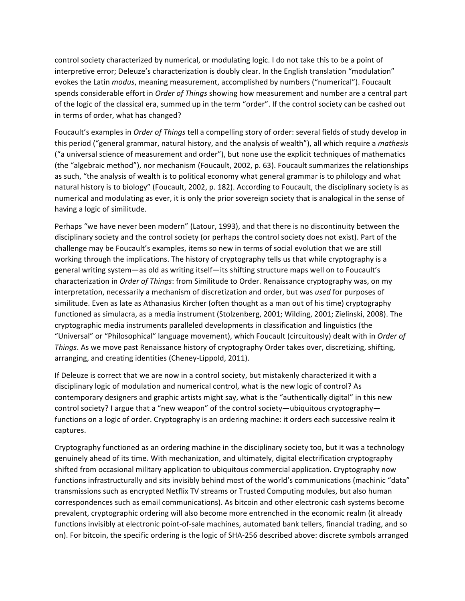control society characterized by numerical, or modulating logic. I do not take this to be a point of interpretive error; Deleuze's characterization is doubly clear. In the English translation "modulation" evokes the Latin *modus*, meaning measurement, accomplished by numbers ("numerical"). Foucault spends considerable effort in Order of Things showing how measurement and number are a central part of the logic of the classical era, summed up in the term "order". If the control society can be cashed out in terms of order, what has changed?

Foucault's examples in *Order of Things* tell a compelling story of order: several fields of study develop in this period ("general grammar, natural history, and the analysis of wealth"), all which require a *mathesis* ("a universal science of measurement and order"), but none use the explicit techniques of mathematics (the "algebraic method"), nor mechanism (Foucault, 2002, p. 63). Foucault summarizes the relationships as such, "the analysis of wealth is to political economy what general grammar is to philology and what natural history is to biology" (Foucault, 2002, p. 182). According to Foucault, the disciplinary society is as numerical and modulating as ever, it is only the prior sovereign society that is analogical in the sense of having a logic of similitude.

Perhaps "we have never been modern" (Latour, 1993), and that there is no discontinuity between the disciplinary society and the control society (or perhaps the control society does not exist). Part of the challenge may be Foucault's examples, items so new in terms of social evolution that we are still working through the implications. The history of cryptography tells us that while cryptography is a general writing system—as old as writing itself—its shifting structure maps well on to Foucault's characterization in *Order of Things*: from Similitude to Order. Renaissance cryptography was, on my interpretation, necessarily a mechanism of discretization and order, but was *used* for purposes of similitude. Even as late as Athanasius Kircher (often thought as a man out of his time) cryptography functioned as simulacra, as a media instrument (Stolzenberg, 2001; Wilding, 2001; Zielinski, 2008). The cryptographic media instruments paralleled developments in classification and linguistics (the "Universal" or "Philosophical" language movement), which Foucault (circuitously) dealt with in *Order of Things*. As we move past Renaissance history of cryptography Order takes over, discretizing, shifting, arranging, and creating identities (Cheney-Lippold, 2011).

If Deleuze is correct that we are now in a control society, but mistakenly characterized it with a disciplinary logic of modulation and numerical control, what is the new logic of control? As contemporary designers and graphic artists might say, what is the "authentically digital" in this new control society? I argue that a "new weapon" of the control society—ubiquitous cryptography functions on a logic of order. Cryptography is an ordering machine: it orders each successive realm it captures.

Cryptography functioned as an ordering machine in the disciplinary society too, but it was a technology genuinely ahead of its time. With mechanization, and ultimately, digital electrification cryptography shifted from occasional military application to ubiquitous commercial application. Cryptography now functions infrastructurally and sits invisibly behind most of the world's communications (machinic "data" transmissions such as encrypted Netflix TV streams or Trusted Computing modules, but also human correspondences such as email communications). As bitcoin and other electronic cash systems become prevalent, cryptographic ordering will also become more entrenched in the economic realm (it already functions invisibly at electronic point-of-sale machines, automated bank tellers, financial trading, and so on). For bitcoin, the specific ordering is the logic of SHA-256 described above: discrete symbols arranged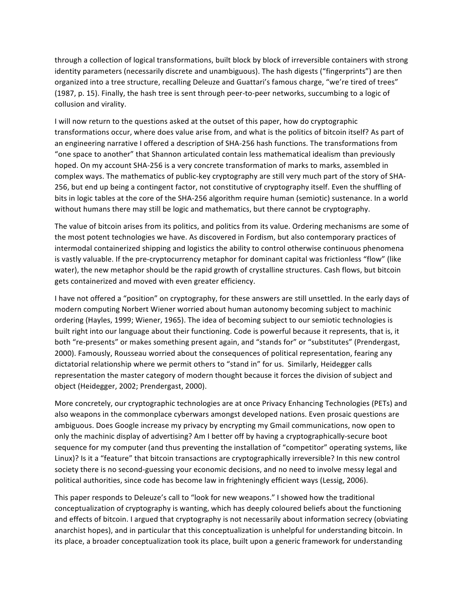through a collection of logical transformations, built block by block of irreversible containers with strong identity parameters (necessarily discrete and unambiguous). The hash digests ("fingerprints") are then organized into a tree structure, recalling Deleuze and Guattari's famous charge, "we're tired of trees" (1987, p. 15). Finally, the hash tree is sent through peer-to-peer networks, succumbing to a logic of collusion and virality.

I will now return to the questions asked at the outset of this paper, how do cryptographic transformations occur, where does value arise from, and what is the politics of bitcoin itself? As part of an engineering narrative I offered a description of SHA-256 hash functions. The transformations from "one space to another" that Shannon articulated contain less mathematical idealism than previously hoped. On my account SHA-256 is a very concrete transformation of marks to marks, assembled in complex ways. The mathematics of public-key cryptography are still very much part of the story of SHA-256, but end up being a contingent factor, not constitutive of cryptography itself. Even the shuffling of bits in logic tables at the core of the SHA-256 algorithm require human (semiotic) sustenance. In a world without humans there may still be logic and mathematics, but there cannot be cryptography.

The value of bitcoin arises from its politics, and politics from its value. Ordering mechanisms are some of the most potent technologies we have. As discovered in Fordism, but also contemporary practices of intermodal containerized shipping and logistics the ability to control otherwise continuous phenomena is vastly valuable. If the pre-cryptocurrency metaphor for dominant capital was frictionless "flow" (like water), the new metaphor should be the rapid growth of crystalline structures. Cash flows, but bitcoin gets containerized and moved with even greater efficiency.

I have not offered a "position" on cryptography, for these answers are still unsettled. In the early days of modern computing Norbert Wiener worried about human autonomy becoming subject to machinic ordering (Hayles, 1999; Wiener, 1965). The idea of becoming subject to our semiotic technologies is built right into our language about their functioning. Code is powerful because it represents, that is, it both "re-presents" or makes something present again, and "stands for" or "substitutes" (Prendergast, 2000). Famously, Rousseau worried about the consequences of political representation, fearing any dictatorial relationship where we permit others to "stand in" for us. Similarly, Heidegger calls representation the master category of modern thought because it forces the division of subject and object (Heidegger, 2002; Prendergast, 2000).

More concretely, our cryptographic technologies are at once Privacy Enhancing Technologies (PETs) and also weapons in the commonplace cyberwars amongst developed nations. Even prosaic questions are ambiguous. Does Google increase my privacy by encrypting my Gmail communications, now open to only the machinic display of advertising? Am I better off by having a cryptographically-secure boot sequence for my computer (and thus preventing the installation of "competitor" operating systems, like Linux)? Is it a "feature" that bitcoin transactions are cryptographically irreversible? In this new control society there is no second-guessing your economic decisions, and no need to involve messy legal and political authorities, since code has become law in frighteningly efficient ways (Lessig, 2006).

This paper responds to Deleuze's call to "look for new weapons." I showed how the traditional conceptualization of cryptography is wanting, which has deeply coloured beliefs about the functioning and effects of bitcoin. I argued that cryptography is not necessarily about information secrecy (obviating anarchist hopes), and in particular that this conceptualization is unhelpful for understanding bitcoin. In its place, a broader conceptualization took its place, built upon a generic framework for understanding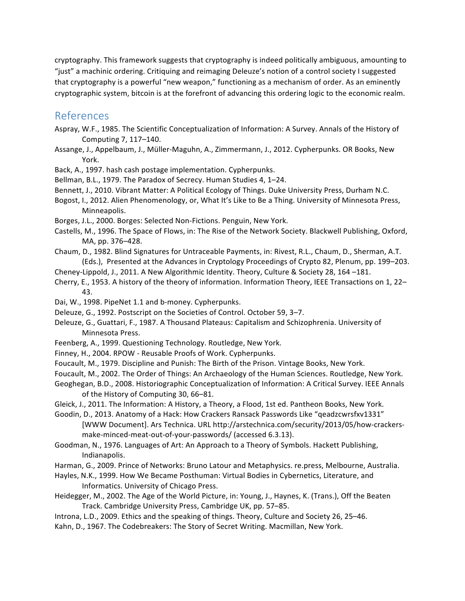cryptography. This framework suggests that cryptography is indeed politically ambiguous, amounting to "just" a machinic ordering. Critiquing and reimaging Deleuze's notion of a control society I suggested that cryptography is a powerful "new weapon," functioning as a mechanism of order. As an eminently cryptographic system, bitcoin is at the forefront of advancing this ordering logic to the economic realm.

#### References

- Aspray, W.F., 1985. The Scientific Conceptualization of Information: A Survey. Annals of the History of Computing 7, 117-140.
- Assange, J., Appelbaum, J., Müller-Maguhn, A., Zimmermann, J., 2012. Cypherpunks. OR Books, New York.
- Back, A., 1997. hash cash postage implementation. Cypherpunks.
- Bellman, B.L., 1979. The Paradox of Secrecy. Human Studies 4, 1-24.
- Bennett, J., 2010. Vibrant Matter: A Political Ecology of Things. Duke University Press, Durham N.C.
- Bogost, I., 2012. Alien Phenomenology, or, What It's Like to Be a Thing. University of Minnesota Press, Minneapolis.
- Borges, J.L., 2000. Borges: Selected Non-Fictions. Penguin, New York.
- Castells, M., 1996. The Space of Flows, in: The Rise of the Network Society. Blackwell Publishing, Oxford, MA, pp. 376-428.
- Chaum, D., 1982. Blind Signatures for Untraceable Payments, in: Rivest, R.L., Chaum, D., Sherman, A.T. (Eds.), Presented at the Advances in Cryptology Proceedings of Crypto 82, Plenum, pp. 199–203.
- Cheney-Lippold, J., 2011. A New Algorithmic Identity. Theory, Culture & Society 28, 164 -181.
- Cherry, E., 1953. A history of the theory of information. Information Theory, IEEE Transactions on 1, 22– 43.
- Dai, W., 1998. PipeNet 1.1 and b-money. Cypherpunks.
- Deleuze, G., 1992. Postscript on the Societies of Control. October 59, 3-7.
- Deleuze, G., Guattari, F., 1987. A Thousand Plateaus: Capitalism and Schizophrenia. University of Minnesota Press.
- Feenberg, A., 1999. Questioning Technology. Routledge, New York.
- Finney, H., 2004. RPOW Reusable Proofs of Work. Cypherpunks.
- Foucault, M., 1979. Discipline and Punish: The Birth of the Prison. Vintage Books, New York.
- Foucault, M., 2002. The Order of Things: An Archaeology of the Human Sciences. Routledge, New York.
- Geoghegan, B.D., 2008. Historiographic Conceptualization of Information: A Critical Survey. IEEE Annals of the History of Computing 30, 66–81.
- Gleick, J., 2011. The Information: A History, a Theory, a Flood, 1st ed. Pantheon Books, New York.
- Goodin, D., 2013. Anatomy of a Hack: How Crackers Ransack Passwords Like "geadzcwrsfxv1331" [WWW Document]. Ars Technica. URL http://arstechnica.com/security/2013/05/how-crackersmake-minced-meat-out-of-your-passwords/ (accessed 6.3.13).
- Goodman, N., 1976. Languages of Art: An Approach to a Theory of Symbols. Hackett Publishing, Indianapolis.
- Harman, G., 2009. Prince of Networks: Bruno Latour and Metaphysics. re.press, Melbourne, Australia.
- Hayles, N.K., 1999. How We Became Posthuman: Virtual Bodies in Cybernetics, Literature, and Informatics. University of Chicago Press.
- Heidegger, M., 2002. The Age of the World Picture, in: Young, J., Haynes, K. (Trans.), Off the Beaten Track. Cambridge University Press, Cambridge UK, pp. 57–85.
- Introna, L.D., 2009. Ethics and the speaking of things. Theory, Culture and Society 26, 25–46.
- Kahn, D., 1967. The Codebreakers: The Story of Secret Writing. Macmillan, New York.